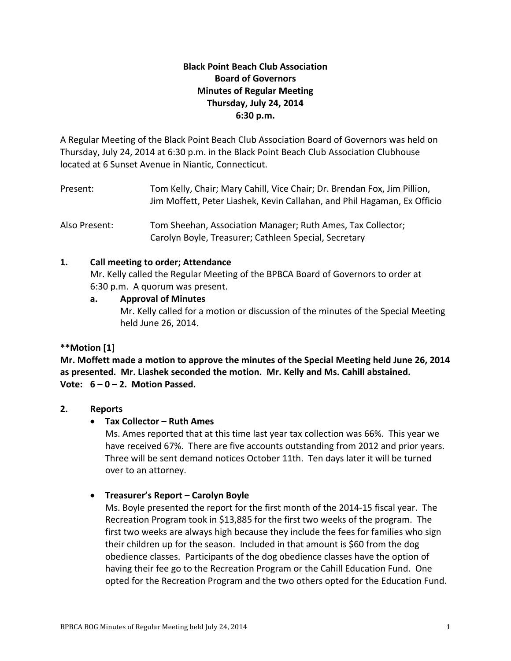## **Black Point Beach Club Association Board of Governors Minutes of Regular Meeting Thursday, July 24, 2014 6:30 p.m.**

A Regular Meeting of the Black Point Beach Club Association Board of Governors was held on Thursday, July 24, 2014 at 6:30 p.m. in the Black Point Beach Club Association Clubhouse located at 6 Sunset Avenue in Niantic, Connecticut.

| Present:        | Tom Kelly, Chair; Mary Cahill, Vice Chair; Dr. Brendan Fox, Jim Pillion,<br>Jim Moffett, Peter Liashek, Kevin Callahan, and Phil Hagaman, Ex Officio |
|-----------------|------------------------------------------------------------------------------------------------------------------------------------------------------|
| Also Present: . | Tom Sheehan, Association Manager; Ruth Ames, Tax Collector;<br>Carolyn Boyle, Treasurer; Cathleen Special, Secretary                                 |

### **1. Call meeting to order; Attendance**

Mr. Kelly called the Regular Meeting of the BPBCA Board of Governors to order at 6:30 p.m. A quorum was present.

### **a. Approval of Minutes**

Mr. Kelly called for a motion or discussion of the minutes of the Special Meeting held June 26, 2014.

## **\*\*Motion [1]**

**Mr. Moffett made a motion to approve the minutes of the Special Meeting held June 26, 2014 as presented. Mr. Liashek seconded the motion. Mr. Kelly and Ms. Cahill abstained. Vote: 6 – 0 – 2. Motion Passed.**

#### **2. Reports**

#### **Tax Collector – Ruth Ames**

Ms. Ames reported that at this time last year tax collection was 66%. This year we have received 67%. There are five accounts outstanding from 2012 and prior years. Three will be sent demand notices October 11th. Ten days later it will be turned over to an attorney.

## **Treasurer's Report – Carolyn Boyle**

Ms. Boyle presented the report for the first month of the 2014-15 fiscal year. The Recreation Program took in \$13,885 for the first two weeks of the program. The first two weeks are always high because they include the fees for families who sign their children up for the season. Included in that amount is \$60 from the dog obedience classes. Participants of the dog obedience classes have the option of having their fee go to the Recreation Program or the Cahill Education Fund. One opted for the Recreation Program and the two others opted for the Education Fund.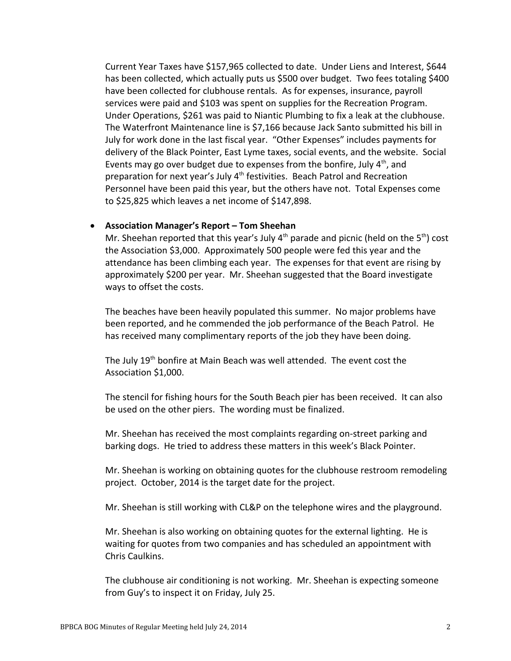Current Year Taxes have \$157,965 collected to date. Under Liens and Interest, \$644 has been collected, which actually puts us \$500 over budget. Two fees totaling \$400 have been collected for clubhouse rentals. As for expenses, insurance, payroll services were paid and \$103 was spent on supplies for the Recreation Program. Under Operations, \$261 was paid to Niantic Plumbing to fix a leak at the clubhouse. The Waterfront Maintenance line is \$7,166 because Jack Santo submitted his bill in July for work done in the last fiscal year. "Other Expenses" includes payments for delivery of the Black Pointer, East Lyme taxes, social events, and the website. Social Events may go over budget due to expenses from the bonfire, July  $4<sup>th</sup>$ , and preparation for next year's July 4<sup>th</sup> festivities. Beach Patrol and Recreation Personnel have been paid this year, but the others have not. Total Expenses come to \$25,825 which leaves a net income of \$147,898.

#### **Association Manager's Report – Tom Sheehan**

Mr. Sheehan reported that this year's July  $4<sup>th</sup>$  parade and picnic (held on the  $5<sup>th</sup>$ ) cost the Association \$3,000. Approximately 500 people were fed this year and the attendance has been climbing each year. The expenses for that event are rising by approximately \$200 per year. Mr. Sheehan suggested that the Board investigate ways to offset the costs.

The beaches have been heavily populated this summer. No major problems have been reported, and he commended the job performance of the Beach Patrol. He has received many complimentary reports of the job they have been doing.

The July 19<sup>th</sup> bonfire at Main Beach was well attended. The event cost the Association \$1,000.

The stencil for fishing hours for the South Beach pier has been received. It can also be used on the other piers. The wording must be finalized.

Mr. Sheehan has received the most complaints regarding on-street parking and barking dogs. He tried to address these matters in this week's Black Pointer.

Mr. Sheehan is working on obtaining quotes for the clubhouse restroom remodeling project. October, 2014 is the target date for the project.

Mr. Sheehan is still working with CL&P on the telephone wires and the playground.

Mr. Sheehan is also working on obtaining quotes for the external lighting. He is waiting for quotes from two companies and has scheduled an appointment with Chris Caulkins.

The clubhouse air conditioning is not working. Mr. Sheehan is expecting someone from Guy's to inspect it on Friday, July 25.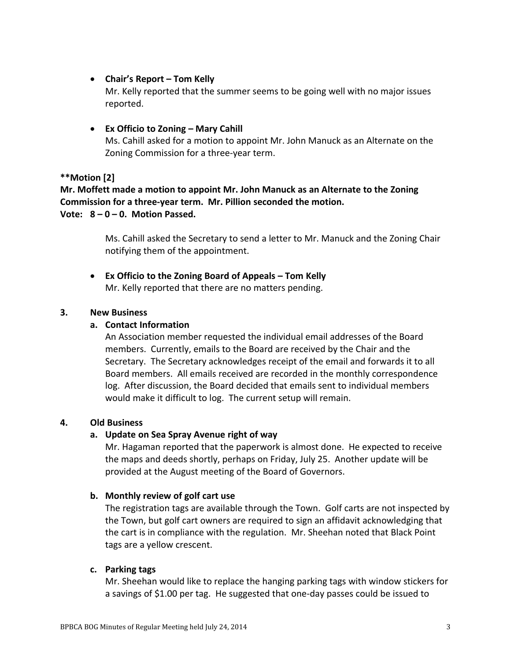### **Chair's Report – Tom Kelly**

Mr. Kelly reported that the summer seems to be going well with no major issues reported.

## **Ex Officio to Zoning – Mary Cahill** Ms. Cahill asked for a motion to appoint Mr. John Manuck as an Alternate on the Zoning Commission for a three-year term.

### **\*\*Motion [2]**

#### **Mr. Moffett made a motion to appoint Mr. John Manuck as an Alternate to the Zoning Commission for a three-year term. Mr. Pillion seconded the motion. Vote: 8 – 0 – 0. Motion Passed.**

Ms. Cahill asked the Secretary to send a letter to Mr. Manuck and the Zoning Chair notifying them of the appointment.

# **Ex Officio to the Zoning Board of Appeals – Tom Kelly**

Mr. Kelly reported that there are no matters pending.

## **3. New Business**

### **a. Contact Information**

An Association member requested the individual email addresses of the Board members. Currently, emails to the Board are received by the Chair and the Secretary. The Secretary acknowledges receipt of the email and forwards it to all Board members. All emails received are recorded in the monthly correspondence log. After discussion, the Board decided that emails sent to individual members would make it difficult to log. The current setup will remain.

#### **4. Old Business**

## **a. Update on Sea Spray Avenue right of way**

Mr. Hagaman reported that the paperwork is almost done. He expected to receive the maps and deeds shortly, perhaps on Friday, July 25. Another update will be provided at the August meeting of the Board of Governors.

#### **b. Monthly review of golf cart use**

The registration tags are available through the Town. Golf carts are not inspected by the Town, but golf cart owners are required to sign an affidavit acknowledging that the cart is in compliance with the regulation. Mr. Sheehan noted that Black Point tags are a yellow crescent.

#### **c. Parking tags**

Mr. Sheehan would like to replace the hanging parking tags with window stickers for a savings of \$1.00 per tag. He suggested that one-day passes could be issued to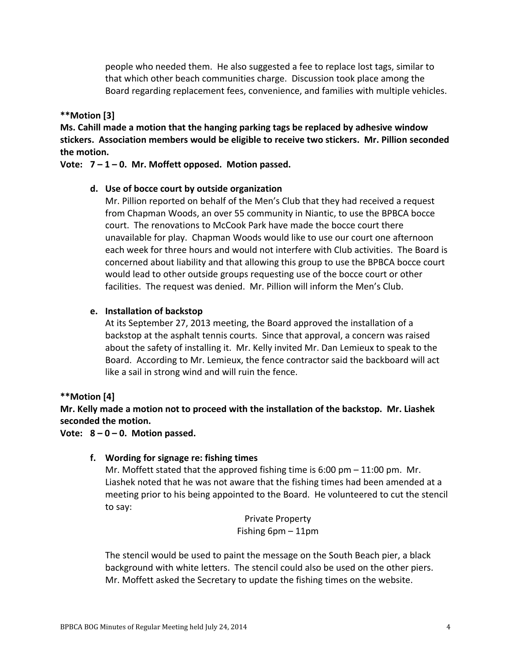people who needed them. He also suggested a fee to replace lost tags, similar to that which other beach communities charge. Discussion took place among the Board regarding replacement fees, convenience, and families with multiple vehicles.

**\*\*Motion [3]**

**Ms. Cahill made a motion that the hanging parking tags be replaced by adhesive window stickers. Association members would be eligible to receive two stickers. Mr. Pillion seconded the motion.**

## **Vote: 7 – 1 – 0. Mr. Moffett opposed. Motion passed.**

### **d. Use of bocce court by outside organization**

Mr. Pillion reported on behalf of the Men's Club that they had received a request from Chapman Woods, an over 55 community in Niantic, to use the BPBCA bocce court. The renovations to McCook Park have made the bocce court there unavailable for play. Chapman Woods would like to use our court one afternoon each week for three hours and would not interfere with Club activities. The Board is concerned about liability and that allowing this group to use the BPBCA bocce court would lead to other outside groups requesting use of the bocce court or other facilities. The request was denied. Mr. Pillion will inform the Men's Club.

### **e. Installation of backstop**

At its September 27, 2013 meeting, the Board approved the installation of a backstop at the asphalt tennis courts. Since that approval, a concern was raised about the safety of installing it. Mr. Kelly invited Mr. Dan Lemieux to speak to the Board. According to Mr. Lemieux, the fence contractor said the backboard will act like a sail in strong wind and will ruin the fence.

## **\*\*Motion [4]**

**Mr. Kelly made a motion not to proceed with the installation of the backstop. Mr. Liashek seconded the motion.**

#### **Vote: 8 – 0 – 0. Motion passed.**

## **f. Wording for signage re: fishing times**

Mr. Moffett stated that the approved fishing time is  $6:00$  pm  $-11:00$  pm. Mr. Liashek noted that he was not aware that the fishing times had been amended at a meeting prior to his being appointed to the Board. He volunteered to cut the stencil to say:

> Private Property Fishing 6pm – 11pm

The stencil would be used to paint the message on the South Beach pier, a black background with white letters. The stencil could also be used on the other piers. Mr. Moffett asked the Secretary to update the fishing times on the website.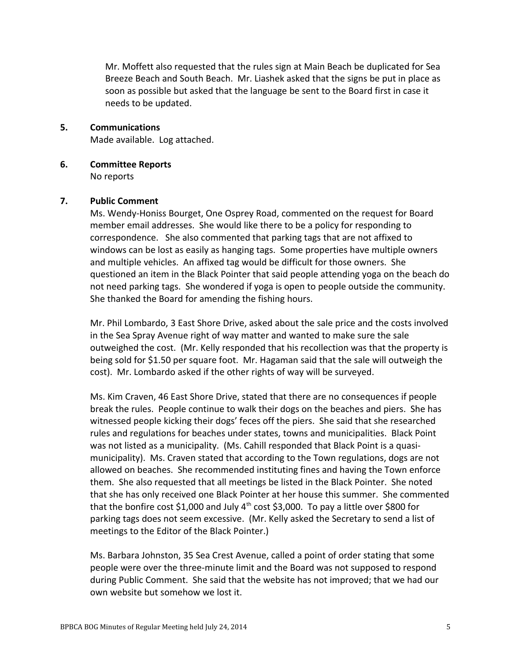Mr. Moffett also requested that the rules sign at Main Beach be duplicated for Sea Breeze Beach and South Beach. Mr. Liashek asked that the signs be put in place as soon as possible but asked that the language be sent to the Board first in case it needs to be updated.

#### **5. Communications**

Made available. Log attached.

# **6. Committee Reports**

No reports

#### **7. Public Comment**

Ms. Wendy-Honiss Bourget, One Osprey Road, commented on the request for Board member email addresses. She would like there to be a policy for responding to correspondence. She also commented that parking tags that are not affixed to windows can be lost as easily as hanging tags. Some properties have multiple owners and multiple vehicles. An affixed tag would be difficult for those owners. She questioned an item in the Black Pointer that said people attending yoga on the beach do not need parking tags. She wondered if yoga is open to people outside the community. She thanked the Board for amending the fishing hours.

Mr. Phil Lombardo, 3 East Shore Drive, asked about the sale price and the costs involved in the Sea Spray Avenue right of way matter and wanted to make sure the sale outweighed the cost. (Mr. Kelly responded that his recollection was that the property is being sold for \$1.50 per square foot. Mr. Hagaman said that the sale will outweigh the cost). Mr. Lombardo asked if the other rights of way will be surveyed.

Ms. Kim Craven, 46 East Shore Drive, stated that there are no consequences if people break the rules. People continue to walk their dogs on the beaches and piers. She has witnessed people kicking their dogs' feces off the piers. She said that she researched rules and regulations for beaches under states, towns and municipalities. Black Point was not listed as a municipality. (Ms. Cahill responded that Black Point is a quasimunicipality). Ms. Craven stated that according to the Town regulations, dogs are not allowed on beaches. She recommended instituting fines and having the Town enforce them. She also requested that all meetings be listed in the Black Pointer. She noted that she has only received one Black Pointer at her house this summer. She commented that the bonfire cost \$1,000 and July  $4<sup>th</sup>$  cost \$3,000. To pay a little over \$800 for parking tags does not seem excessive. (Mr. Kelly asked the Secretary to send a list of meetings to the Editor of the Black Pointer.)

Ms. Barbara Johnston, 35 Sea Crest Avenue, called a point of order stating that some people were over the three-minute limit and the Board was not supposed to respond during Public Comment. She said that the website has not improved; that we had our own website but somehow we lost it.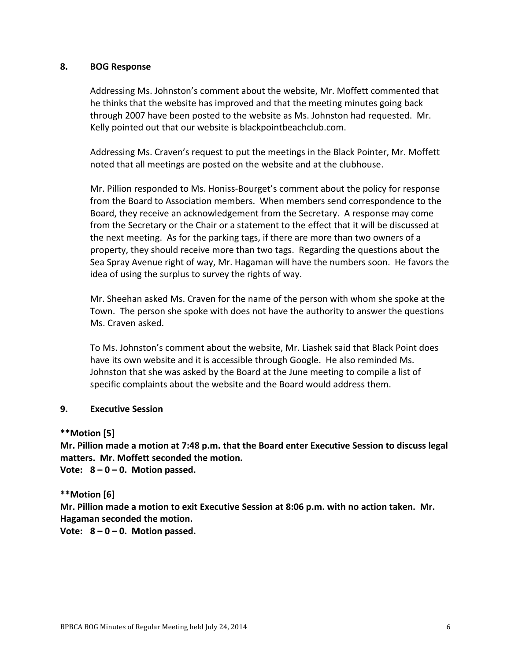#### **8. BOG Response**

Addressing Ms. Johnston's comment about the website, Mr. Moffett commented that he thinks that the website has improved and that the meeting minutes going back through 2007 have been posted to the website as Ms. Johnston had requested. Mr. Kelly pointed out that our website is blackpointbeachclub.com.

Addressing Ms. Craven's request to put the meetings in the Black Pointer, Mr. Moffett noted that all meetings are posted on the website and at the clubhouse.

Mr. Pillion responded to Ms. Honiss-Bourget's comment about the policy for response from the Board to Association members. When members send correspondence to the Board, they receive an acknowledgement from the Secretary. A response may come from the Secretary or the Chair or a statement to the effect that it will be discussed at the next meeting. As for the parking tags, if there are more than two owners of a property, they should receive more than two tags. Regarding the questions about the Sea Spray Avenue right of way, Mr. Hagaman will have the numbers soon. He favors the idea of using the surplus to survey the rights of way.

Mr. Sheehan asked Ms. Craven for the name of the person with whom she spoke at the Town. The person she spoke with does not have the authority to answer the questions Ms. Craven asked.

To Ms. Johnston's comment about the website, Mr. Liashek said that Black Point does have its own website and it is accessible through Google. He also reminded Ms. Johnston that she was asked by the Board at the June meeting to compile a list of specific complaints about the website and the Board would address them.

#### **9. Executive Session**

**\*\*Motion [5]**

**Mr. Pillion made a motion at 7:48 p.m. that the Board enter Executive Session to discuss legal matters. Mr. Moffett seconded the motion.**

**Vote: 8 – 0 – 0. Motion passed.**

## **\*\*Motion [6]**

**Mr. Pillion made a motion to exit Executive Session at 8:06 p.m. with no action taken. Mr. Hagaman seconded the motion.** 

**Vote: 8 – 0 – 0. Motion passed.**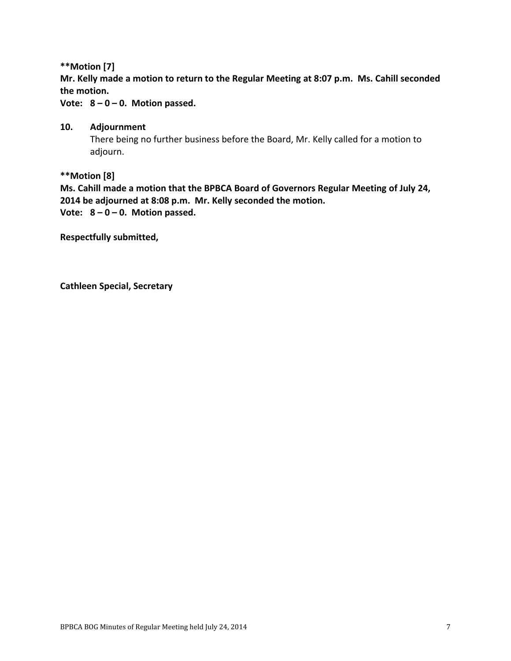**\*\*Motion [7]**

**Mr. Kelly made a motion to return to the Regular Meeting at 8:07 p.m. Ms. Cahill seconded the motion.**

**Vote: 8 – 0 – 0. Motion passed.**

## **10. Adjournment**

There being no further business before the Board, Mr. Kelly called for a motion to adjourn.

**\*\*Motion [8]**

**Ms. Cahill made a motion that the BPBCA Board of Governors Regular Meeting of July 24, 2014 be adjourned at 8:08 p.m. Mr. Kelly seconded the motion. Vote: 8 – 0 – 0. Motion passed.**

**Respectfully submitted,**

**Cathleen Special, Secretary**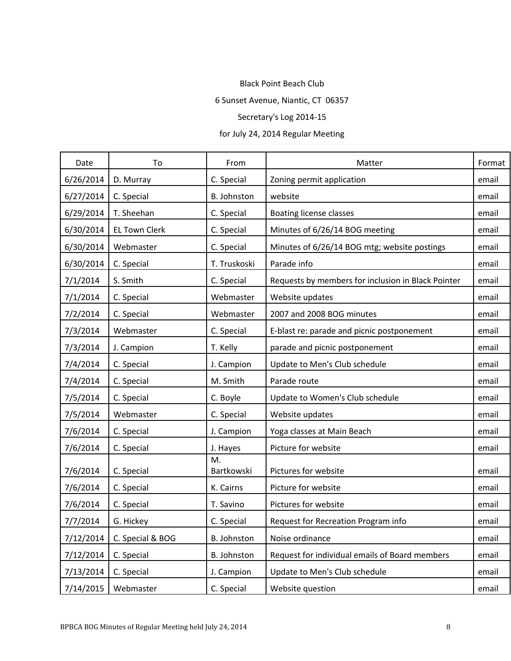#### Black Point Beach Club

## 6 Sunset Avenue, Niantic, CT 06357

## Secretary's Log 2014-15

## for July 24, 2014 Regular Meeting

| Date      | To                   | From               | Matter                                             | Format |
|-----------|----------------------|--------------------|----------------------------------------------------|--------|
| 6/26/2014 | D. Murray            | C. Special         | Zoning permit application                          | email  |
| 6/27/2014 | C. Special           | <b>B.</b> Johnston | website                                            | email  |
| 6/29/2014 | T. Sheehan           | C. Special         | Boating license classes                            | email  |
| 6/30/2014 | <b>EL Town Clerk</b> | C. Special         | Minutes of 6/26/14 BOG meeting                     | email  |
| 6/30/2014 | Webmaster            | C. Special         | Minutes of 6/26/14 BOG mtg; website postings       | email  |
| 6/30/2014 | C. Special           | T. Truskoski       | Parade info                                        | email  |
| 7/1/2014  | S. Smith             | C. Special         | Requests by members for inclusion in Black Pointer | email  |
| 7/1/2014  | C. Special           | Webmaster          | Website updates                                    | email  |
| 7/2/2014  | C. Special           | Webmaster          | 2007 and 2008 BOG minutes                          | email  |
| 7/3/2014  | Webmaster            | C. Special         | E-blast re: parade and picnic postponement         | email  |
| 7/3/2014  | J. Campion           | T. Kelly           | parade and picnic postponement                     | email  |
| 7/4/2014  | C. Special           | J. Campion         | Update to Men's Club schedule                      | email  |
| 7/4/2014  | C. Special           | M. Smith           | Parade route                                       | email  |
| 7/5/2014  | C. Special           | C. Boyle           | Update to Women's Club schedule                    | email  |
| 7/5/2014  | Webmaster            | C. Special         | Website updates                                    | email  |
| 7/6/2014  | C. Special           | J. Campion         | Yoga classes at Main Beach                         | email  |
| 7/6/2014  | C. Special           | J. Hayes           | Picture for website                                | email  |
| 7/6/2014  | C. Special           | M.<br>Bartkowski   | Pictures for website                               | email  |
| 7/6/2014  | C. Special           | K. Cairns          | Picture for website                                | email  |
| 7/6/2014  | C. Special           | T. Savino          | Pictures for website                               | email  |
| 7/7/2014  | G. Hickey            | C. Special         | Request for Recreation Program info                | email  |
| 7/12/2014 | C. Special & BOG     | <b>B.</b> Johnston | Noise ordinance                                    | email  |
| 7/12/2014 | C. Special           | <b>B.</b> Johnston | Request for individual emails of Board members     | email  |
| 7/13/2014 | C. Special           | J. Campion         | Update to Men's Club schedule                      | email  |
| 7/14/2015 | Webmaster            | C. Special         | Website question                                   | email  |